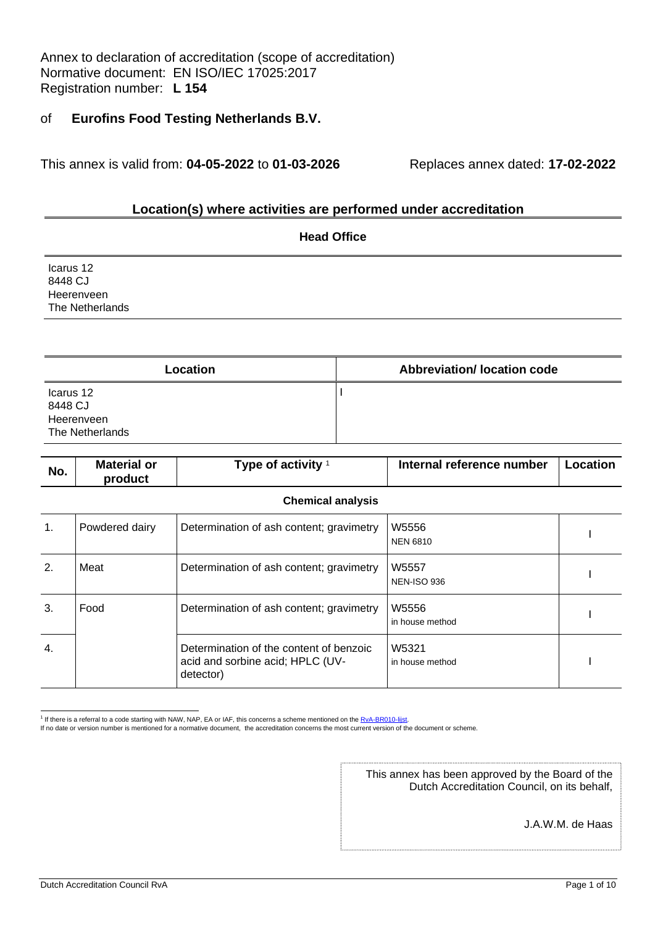Annex to declaration of accreditation (scope of accreditation) Normative document: EN ISO/IEC 17025:2017 Registration number: **L 154**

### of **Eurofins Food Testing Netherlands B.V.**

This annex is valid from: **04-05-2022** to **01-03-2026** Replaces annex dated: **17-02-2022**

### **Location(s) where activities are performed under accreditation**

|                                                       | <b>Head Office</b>         |
|-------------------------------------------------------|----------------------------|
| Icarus 12<br>8448 CJ<br>Heerenveen<br>The Netherlands |                            |
|                                                       |                            |
| ocation                                               | Abbreviation/Jocation code |

| Location                                              | <b>Abbreviation/Iocation code</b> |
|-------------------------------------------------------|-----------------------------------|
| Icarus 12<br>8448 CJ<br>Heerenveen<br>The Netherlands |                                   |

| No.              | <b>Material or</b><br>product | Type of activity <sup>1</sup>                                                            | Internal reference number   | Location |
|------------------|-------------------------------|------------------------------------------------------------------------------------------|-----------------------------|----------|
|                  |                               | <b>Chemical analysis</b>                                                                 |                             |          |
| 1.               | Powdered dairy                | Determination of ash content; gravimetry                                                 | W5556<br><b>NEN 6810</b>    |          |
| 2.               | Meat                          | Determination of ash content; gravimetry                                                 | W5557<br><b>NEN-ISO 936</b> |          |
| 3.               | Food                          | Determination of ash content; gravimetry                                                 | W5556<br>in house method    |          |
| $\overline{4}$ . |                               | Determination of the content of benzoic<br>acid and sorbine acid; HPLC (UV-<br>detector) | W5321<br>in house method    |          |

<sup>1</sup> If there is a referral to a code starting with NAW, NAP, EA or IAF, this concerns a scheme mentioned on the RvA-BR010-lijst.

If no date or version number is mentioned for a normative document, the accreditation concerns the most current version of the document or scheme.

This annex has been approved by the Board of the Dutch Accreditation Council, on its behalf,

J.A.W.M. de Haas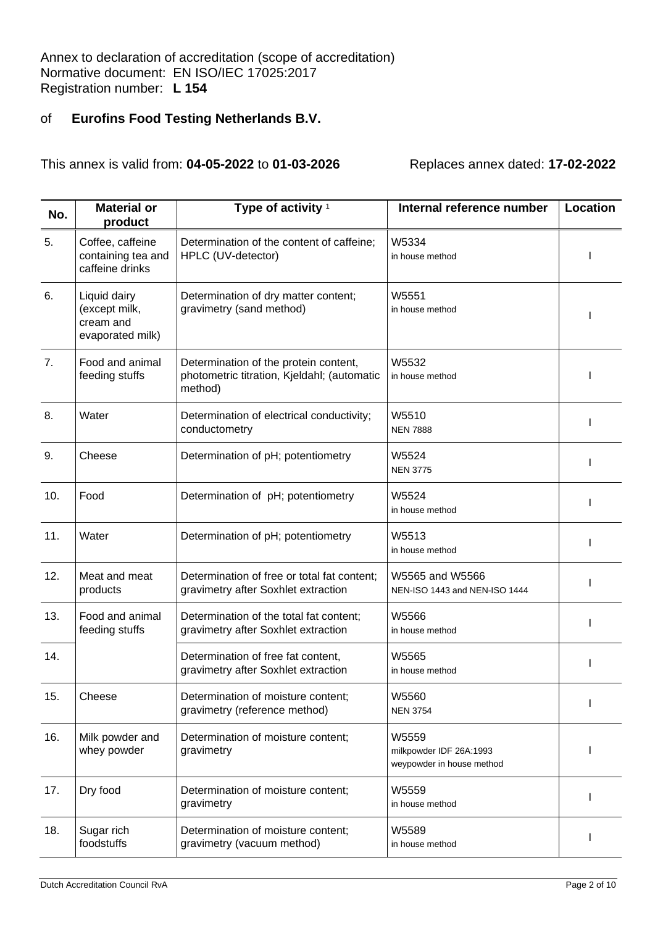| No. | <b>Material or</b><br>product                                  | Type of activity <sup>1</sup>                                                                   | Internal reference number                                     | <b>Location</b> |
|-----|----------------------------------------------------------------|-------------------------------------------------------------------------------------------------|---------------------------------------------------------------|-----------------|
| 5.  | Coffee, caffeine<br>containing tea and<br>caffeine drinks      | Determination of the content of caffeine;<br>HPLC (UV-detector)                                 | W5334<br>in house method                                      |                 |
| 6.  | Liquid dairy<br>(except milk,<br>cream and<br>evaporated milk) | Determination of dry matter content;<br>gravimetry (sand method)                                | W5551<br>in house method                                      |                 |
| 7.  | Food and animal<br>feeding stuffs                              | Determination of the protein content,<br>photometric titration, Kjeldahl; (automatic<br>method) | W5532<br>in house method                                      |                 |
| 8.  | Water                                                          | Determination of electrical conductivity;<br>conductometry                                      | W5510<br><b>NEN 7888</b>                                      |                 |
| 9.  | Cheese                                                         | Determination of pH; potentiometry                                                              | W5524<br><b>NEN 3775</b>                                      | T               |
| 10. | Food                                                           | Determination of pH; potentiometry                                                              | W5524<br>in house method                                      | J.              |
| 11. | Water                                                          | Determination of pH; potentiometry                                                              | W5513<br>in house method                                      |                 |
| 12. | Meat and meat<br>products                                      | Determination of free or total fat content;<br>gravimetry after Soxhlet extraction              | W5565 and W5566<br>NEN-ISO 1443 and NEN-ISO 1444              |                 |
| 13. | Food and animal<br>feeding stuffs                              | Determination of the total fat content;<br>gravimetry after Soxhlet extraction                  | W5566<br>in house method                                      |                 |
| 14. |                                                                | Determination of free fat content,<br>gravimetry after Soxhlet extraction                       | W5565<br>in house method                                      |                 |
| 15. | Cheese                                                         | Determination of moisture content;<br>gravimetry (reference method)                             | W5560<br><b>NEN 3754</b>                                      |                 |
| 16. | Milk powder and<br>whey powder                                 | Determination of moisture content;<br>gravimetry                                                | W5559<br>milkpowder IDF 26A:1993<br>weypowder in house method | J.              |
| 17. | Dry food                                                       | Determination of moisture content;<br>gravimetry                                                | W5559<br>in house method                                      |                 |
| 18. | Sugar rich<br>foodstuffs                                       | Determination of moisture content;<br>gravimetry (vacuum method)                                | W5589<br>in house method                                      |                 |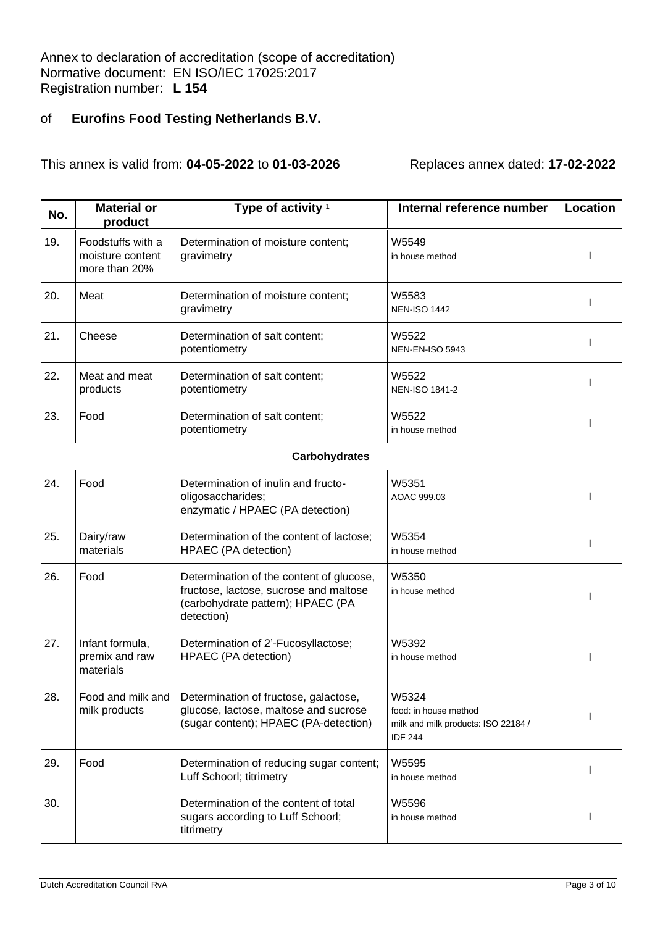This annex is valid from: **04-05-2022** to **01-03-2026** Replaces annex dated: **17-02-2022**

| No. | <b>Material or</b><br>product                          | Type of activity <sup>1</sup>                    | Internal reference number       | Location |
|-----|--------------------------------------------------------|--------------------------------------------------|---------------------------------|----------|
| 19. | Foodstuffs with a<br>moisture content<br>more than 20% | Determination of moisture content;<br>gravimetry | W5549<br>in house method        |          |
| 20. | Meat                                                   | Determination of moisture content:<br>gravimetry | W5583<br><b>NEN-ISO 1442</b>    |          |
| 21. | Cheese                                                 | Determination of salt content;<br>potentiometry  | W5522<br><b>NEN-EN-ISO 5943</b> |          |
| 22. | Meat and meat<br>products                              | Determination of salt content;<br>potentiometry  | W5522<br><b>NEN-ISO 1841-2</b>  |          |
| 23. | Food                                                   | Determination of salt content;<br>potentiometry  | W5522<br>in house method        |          |

### **Carbohydrates**

| 24. | Food                                           | Determination of inulin and fructo-<br>oligosaccharides;<br>enzymatic / HPAEC (PA detection)                                          | W5351<br>AOAC 999.03                                                                    |  |
|-----|------------------------------------------------|---------------------------------------------------------------------------------------------------------------------------------------|-----------------------------------------------------------------------------------------|--|
| 25. | Dairy/raw<br>materials                         | Determination of the content of lactose;<br>HPAEC (PA detection)                                                                      | W5354<br>in house method                                                                |  |
| 26. | Food                                           | Determination of the content of glucose,<br>fructose, lactose, sucrose and maltose<br>(carbohydrate pattern); HPAEC (PA<br>detection) | W5350<br>in house method                                                                |  |
| 27. | Infant formula,<br>premix and raw<br>materials | Determination of 2'-Fucosyllactose;<br>HPAEC (PA detection)                                                                           | W5392<br>in house method                                                                |  |
| 28. | Food and milk and<br>milk products             | Determination of fructose, galactose,<br>glucose, lactose, maltose and sucrose<br>(sugar content); HPAEC (PA-detection)               | W5324<br>food: in house method<br>milk and milk products: ISO 22184 /<br><b>IDF 244</b> |  |
| 29. | Food                                           | Determination of reducing sugar content;<br>Luff Schoorl; titrimetry                                                                  | W5595<br>in house method                                                                |  |
| 30. |                                                | Determination of the content of total<br>sugars according to Luff Schoorl;<br>titrimetry                                              | W5596<br>in house method                                                                |  |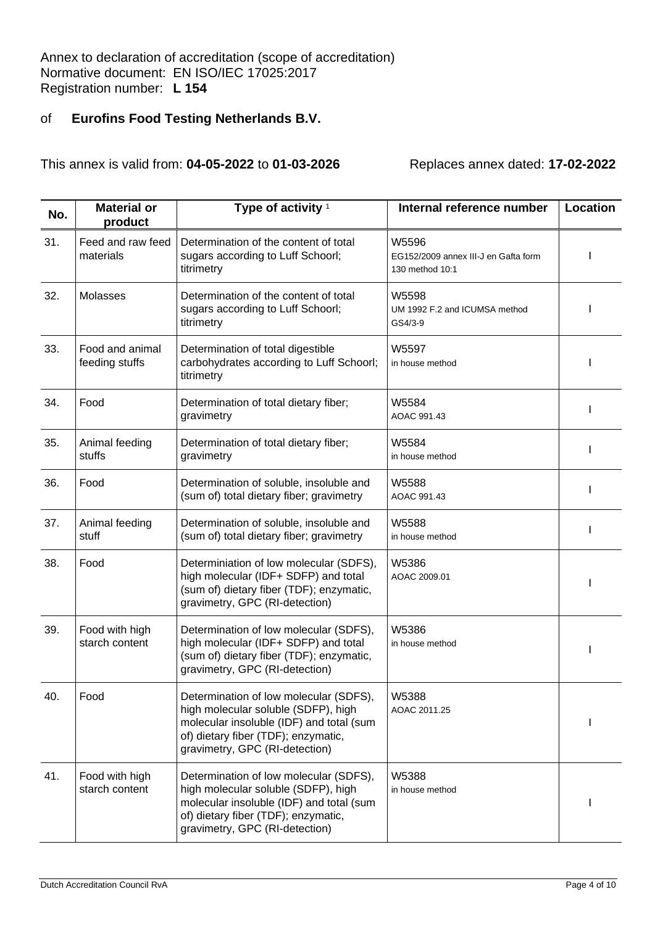| No. | <b>Material or</b><br>product     | Type of activity <sup>1</sup>                                                                                                                                                                      | Internal reference number                                        | Location |
|-----|-----------------------------------|----------------------------------------------------------------------------------------------------------------------------------------------------------------------------------------------------|------------------------------------------------------------------|----------|
| 31. | Feed and raw feed<br>materials    | Determination of the content of total<br>sugars according to Luff Schoorl;<br>titrimetry                                                                                                           | W5596<br>EG152/2009 annex III-J en Gafta form<br>130 method 10:1 |          |
| 32. | Molasses                          | Determination of the content of total<br>sugars according to Luff Schoorl;<br>titrimetry                                                                                                           | W5598<br>UM 1992 F.2 and ICUMSA method<br>GS4/3-9                |          |
| 33. | Food and animal<br>feeding stuffs | Determination of total digestible<br>carbohydrates according to Luff Schoorl;<br>titrimetry                                                                                                        | W5597<br>in house method                                         |          |
| 34. | Food                              | Determination of total dietary fiber;<br>gravimetry                                                                                                                                                | W5584<br>AOAC 991.43                                             |          |
| 35. | Animal feeding<br>stuffs          | Determination of total dietary fiber;<br>gravimetry                                                                                                                                                | W5584<br>in house method                                         |          |
| 36. | Food                              | Determination of soluble, insoluble and<br>(sum of) total dietary fiber; gravimetry                                                                                                                | W5588<br>AOAC 991.43                                             |          |
| 37. | Animal feeding<br>stuff           | Determination of soluble, insoluble and<br>(sum of) total dietary fiber; gravimetry                                                                                                                | W5588<br>in house method                                         |          |
| 38. | Food                              | Determiniation of low molecular (SDFS),<br>high molecular (IDF+ SDFP) and total<br>(sum of) dietary fiber (TDF); enzymatic,<br>gravimetry, GPC (RI-detection)                                      | W5386<br>AOAC 2009.01                                            |          |
| 39. | Food with high<br>starch content  | Determination of low molecular (SDFS),<br>high molecular (IDF+ SDFP) and total<br>(sum of) dietary fiber (TDF); enzymatic,<br>gravimetry, GPC (RI-detection)                                       | W5386<br>in house method                                         |          |
| 40. | Food                              | Determination of low molecular (SDFS),<br>high molecular soluble (SDFP), high<br>molecular insoluble (IDF) and total (sum<br>of) dietary fiber (TDF); enzymatic,<br>gravimetry, GPC (RI-detection) | W5388<br>AOAC 2011.25                                            |          |
| 41. | Food with high<br>starch content  | Determination of low molecular (SDFS),<br>high molecular soluble (SDFP), high<br>molecular insoluble (IDF) and total (sum<br>of) dietary fiber (TDF); enzymatic,<br>gravimetry, GPC (RI-detection) | W5388<br>in house method                                         |          |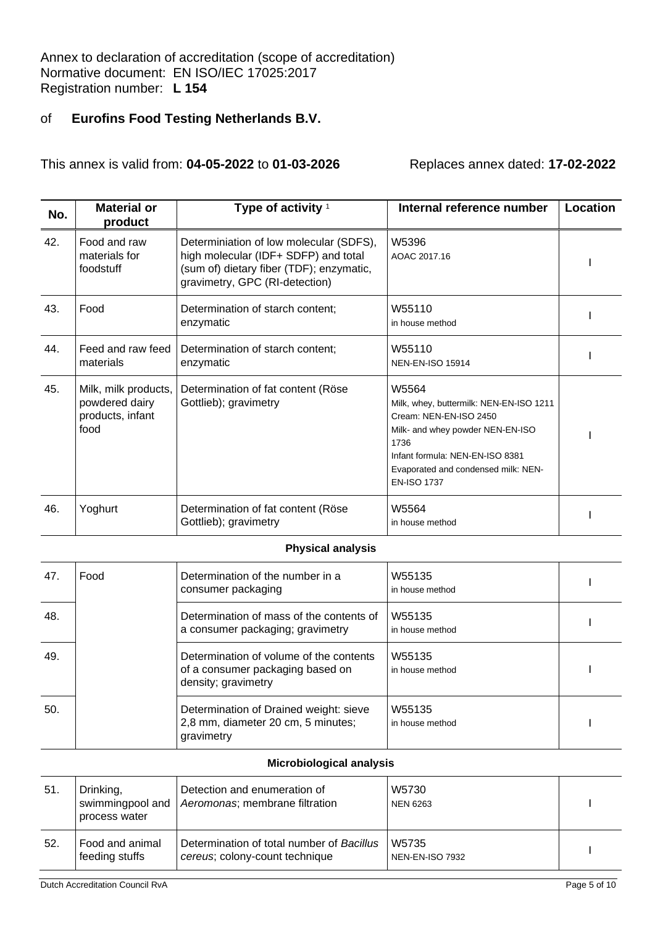This annex is valid from: **04-05-2022** to **01-03-2026** Replaces annex dated: **17-02-2022**

| No. | <b>Material or</b><br>product                                      | Type of activity $1$                                                                                                                                          | Internal reference number                                                                                                                                                                                              | Location |
|-----|--------------------------------------------------------------------|---------------------------------------------------------------------------------------------------------------------------------------------------------------|------------------------------------------------------------------------------------------------------------------------------------------------------------------------------------------------------------------------|----------|
| 42. | Food and raw<br>materials for<br>foodstuff                         | Determiniation of low molecular (SDFS),<br>high molecular (IDF+ SDFP) and total<br>(sum of) dietary fiber (TDF); enzymatic,<br>gravimetry, GPC (RI-detection) | W5396<br>AOAC 2017.16                                                                                                                                                                                                  |          |
| 43. | Food                                                               | Determination of starch content;<br>enzymatic                                                                                                                 | W55110<br>in house method                                                                                                                                                                                              |          |
| 44. | Feed and raw feed<br>materials                                     | Determination of starch content;<br>enzymatic                                                                                                                 | W55110<br><b>NEN-EN-ISO 15914</b>                                                                                                                                                                                      |          |
| 45. | Milk, milk products,<br>powdered dairy<br>products, infant<br>food | Determination of fat content (Röse<br>Gottlieb); gravimetry                                                                                                   | W5564<br>Milk, whey, buttermilk: NEN-EN-ISO 1211<br>Cream: NEN-EN-ISO 2450<br>Milk- and whey powder NEN-EN-ISO<br>1736<br>Infant formula: NEN-EN-ISO 8381<br>Evaporated and condensed milk: NEN-<br><b>EN-ISO 1737</b> |          |
| 46. | Yoghurt                                                            | Determination of fat content (Röse<br>Gottlieb); gravimetry                                                                                                   | W5564<br>in house method                                                                                                                                                                                               |          |
|     |                                                                    | <b>Physical analysis</b>                                                                                                                                      |                                                                                                                                                                                                                        |          |
| 47  | <b>E</b> nnd                                                       | Determination of the number in a                                                                                                                              | W55135                                                                                                                                                                                                                 |          |

| 47. | Food | Determination of the number in a<br>consumer packaging                                             | W55135<br>in house method |  |
|-----|------|----------------------------------------------------------------------------------------------------|---------------------------|--|
| 48. |      | Determination of mass of the contents of<br>a consumer packaging; gravimetry                       | W55135<br>in house method |  |
| 49. |      | Determination of volume of the contents<br>of a consumer packaging based on<br>density; gravimetry | W55135<br>in house method |  |
| 50. |      | Determination of Drained weight: sieve<br>2,8 mm, diameter 20 cm, 5 minutes;<br>gravimetry         | W55135<br>in house method |  |

#### **Microbiological analysis**

| 51. | Drinking,<br>process water        | Detection and enumeration of<br>swimmingpool and   Aeromonas; membrane filtration | W5730<br><b>NEN 6263</b>        |  |
|-----|-----------------------------------|-----------------------------------------------------------------------------------|---------------------------------|--|
| 52. | Food and animal<br>feeding stuffs | Determination of total number of Bacillus<br>cereus; colony-count technique       | W5735<br><b>NEN-EN-ISO 7932</b> |  |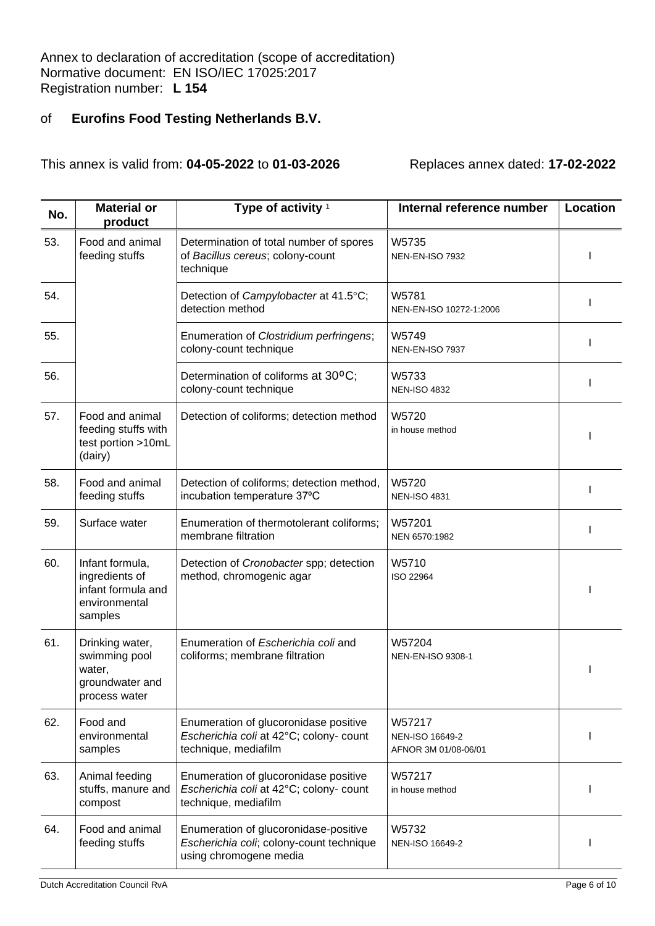| No. | <b>Material or</b><br>product                                                       | Type of activity <sup>1</sup>                                                                               | Internal reference number                         | Location |
|-----|-------------------------------------------------------------------------------------|-------------------------------------------------------------------------------------------------------------|---------------------------------------------------|----------|
| 53. | Food and animal<br>feeding stuffs                                                   | Determination of total number of spores<br>of Bacillus cereus; colony-count<br>technique                    | W5735<br><b>NEN-EN-ISO 7932</b>                   |          |
| 54. |                                                                                     | Detection of Campylobacter at 41.5°C;<br>detection method                                                   | W5781<br>NEN-EN-ISO 10272-1:2006                  |          |
| 55. |                                                                                     | Enumeration of Clostridium perfringens;<br>colony-count technique                                           | W5749<br>NEN-EN-ISO 7937                          |          |
| 56. |                                                                                     | Determination of coliforms at 30°C;<br>colony-count technique                                               | W5733<br><b>NEN-ISO 4832</b>                      |          |
| 57. | Food and animal<br>feeding stuffs with<br>test portion >10mL<br>(dairy)             | Detection of coliforms; detection method                                                                    | W5720<br>in house method                          |          |
| 58. | Food and animal<br>feeding stuffs                                                   | Detection of coliforms; detection method,<br>incubation temperature 37°C                                    | W5720<br><b>NEN-ISO 4831</b>                      |          |
| 59. | Surface water                                                                       | Enumeration of thermotolerant coliforms;<br>membrane filtration                                             | W57201<br>NEN 6570:1982                           |          |
| 60. | Infant formula,<br>ingredients of<br>infant formula and<br>environmental<br>samples | Detection of Cronobacter spp; detection<br>method, chromogenic agar                                         | W5710<br>ISO 22964                                |          |
| 61. | Drinking water,<br>swimming pool<br>water,<br>groundwater and<br>process water      | Enumeration of Escherichia coli and<br>coliforms; membrane filtration                                       | W57204<br>NEN-EN-ISO 9308-1                       |          |
| 62. | Food and<br>environmental<br>samples                                                | Enumeration of glucoronidase positive<br>Escherichia coli at 42°C; colony- count<br>technique, mediafilm    | W57217<br>NEN-ISO 16649-2<br>AFNOR 3M 01/08-06/01 |          |
| 63. | Animal feeding<br>stuffs, manure and<br>compost                                     | Enumeration of glucoronidase positive<br>Escherichia coli at 42°C; colony- count<br>technique, mediafilm    | W57217<br>in house method                         |          |
| 64. | Food and animal<br>feeding stuffs                                                   | Enumeration of glucoronidase-positive<br>Escherichia coli; colony-count technique<br>using chromogene media | W5732<br>NEN-ISO 16649-2                          |          |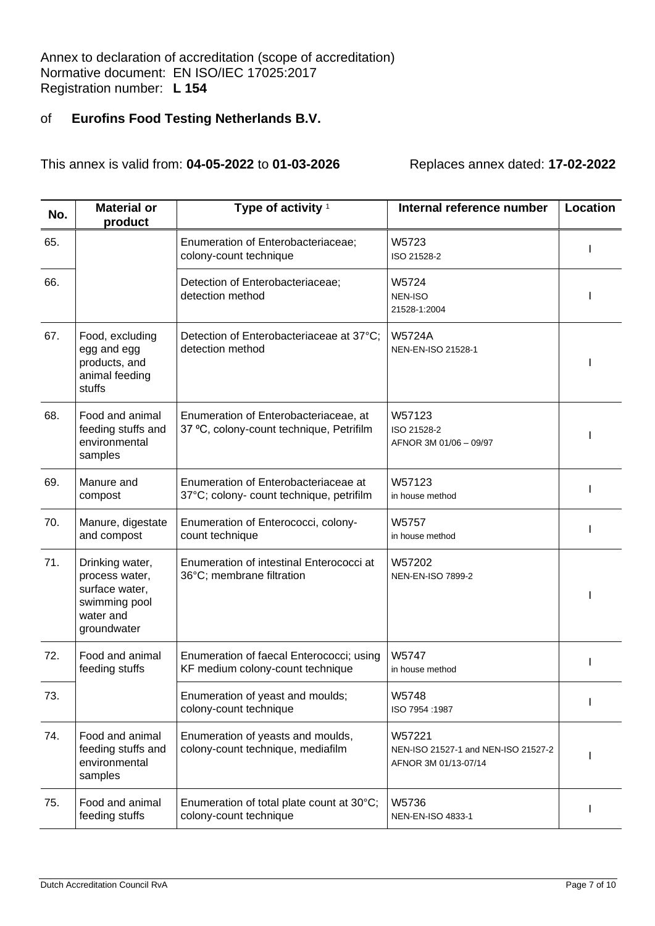| No. | <b>Material or</b><br>product                                                                    | Type of activity <sup>1</sup>                                                     | Internal reference number                                             | Location |
|-----|--------------------------------------------------------------------------------------------------|-----------------------------------------------------------------------------------|-----------------------------------------------------------------------|----------|
| 65. |                                                                                                  | Enumeration of Enterobacteriaceae;<br>colony-count technique                      | W5723<br>ISO 21528-2                                                  |          |
| 66. |                                                                                                  | Detection of Enterobacteriaceae;<br>detection method                              | W5724<br><b>NEN-ISO</b><br>21528-1:2004                               |          |
| 67. | Food, excluding<br>egg and egg<br>products, and<br>animal feeding<br>stuffs                      | Detection of Enterobacteriaceae at 37°C;<br>detection method                      | <b>W5724A</b><br>NEN-EN-ISO 21528-1                                   |          |
| 68. | Food and animal<br>feeding stuffs and<br>environmental<br>samples                                | Enumeration of Enterobacteriaceae, at<br>37 °C, colony-count technique, Petrifilm | W57123<br>ISO 21528-2<br>AFNOR 3M 01/06 - 09/97                       |          |
| 69. | Manure and<br>compost                                                                            | Enumeration of Enterobacteriaceae at<br>37°C; colony- count technique, petrifilm  | W57123<br>in house method                                             |          |
| 70. | Manure, digestate<br>and compost                                                                 | Enumeration of Enterococci, colony-<br>count technique                            | W5757<br>in house method                                              |          |
| 71. | Drinking water,<br>process water,<br>surface water,<br>swimming pool<br>water and<br>groundwater | Enumeration of intestinal Enterococci at<br>36°C; membrane filtration             | W57202<br><b>NEN-EN-ISO 7899-2</b>                                    |          |
| 72. | Food and animal<br>feeding stuffs                                                                | Enumeration of faecal Enterococci; using<br>KF medium colony-count technique      | W5747<br>in house method                                              |          |
| 73. |                                                                                                  | Enumeration of yeast and moulds;<br>colony-count technique                        | W5748<br>1987: ISO 7954                                               |          |
| 74. | Food and animal<br>feeding stuffs and<br>environmental<br>samples                                | Enumeration of yeasts and moulds,<br>colony-count technique, mediafilm            | W57221<br>NEN-ISO 21527-1 and NEN-ISO 21527-2<br>AFNOR 3M 01/13-07/14 |          |
| 75. | Food and animal<br>feeding stuffs                                                                | Enumeration of total plate count at 30°C;<br>colony-count technique               | W5736<br>NEN-EN-ISO 4833-1                                            |          |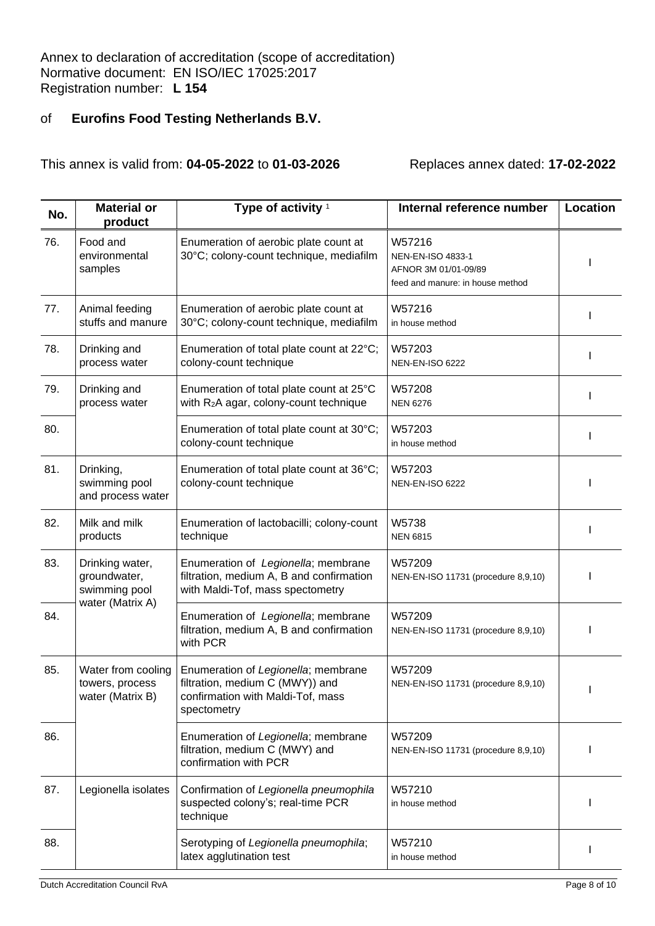| No. | <b>Material or</b><br>product                                        | Type of activity <sup>1</sup>                                                                                              | Internal reference number                                                               | Location |
|-----|----------------------------------------------------------------------|----------------------------------------------------------------------------------------------------------------------------|-----------------------------------------------------------------------------------------|----------|
| 76. | Food and<br>environmental<br>samples                                 | Enumeration of aerobic plate count at<br>30°C; colony-count technique, mediafilm                                           | W57216<br>NEN-EN-ISO 4833-1<br>AFNOR 3M 01/01-09/89<br>feed and manure: in house method |          |
| 77. | Animal feeding<br>stuffs and manure                                  | Enumeration of aerobic plate count at<br>30°C; colony-count technique, mediafilm                                           | W57216<br>in house method                                                               |          |
| 78. | Drinking and<br>process water                                        | Enumeration of total plate count at 22°C;<br>colony-count technique                                                        | W57203<br><b>NEN-EN-ISO 6222</b>                                                        |          |
| 79. | Drinking and<br>process water                                        | Enumeration of total plate count at 25°C<br>with R <sub>2</sub> A agar, colony-count technique                             | W57208<br><b>NEN 6276</b>                                                               |          |
| 80. |                                                                      | Enumeration of total plate count at 30°C;<br>colony-count technique                                                        | W57203<br>in house method                                                               |          |
| 81. | Drinking,<br>swimming pool<br>and process water                      | Enumeration of total plate count at 36°C;<br>colony-count technique                                                        | W57203<br><b>NEN-EN-ISO 6222</b>                                                        |          |
| 82. | Milk and milk<br>products                                            | Enumeration of lactobacilli; colony-count<br>technique                                                                     | W5738<br><b>NEN 6815</b>                                                                |          |
| 83. | Drinking water,<br>groundwater,<br>swimming pool<br>water (Matrix A) | Enumeration of Legionella; membrane<br>filtration, medium A, B and confirmation<br>with Maldi-Tof, mass spectometry        | W57209<br>NEN-EN-ISO 11731 (procedure 8,9,10)                                           |          |
| 84. |                                                                      | Enumeration of Legionella; membrane<br>filtration, medium A, B and confirmation<br>with PCR                                | W57209<br>NEN-EN-ISO 11731 (procedure 8,9,10)                                           |          |
| 85. | Water from cooling<br>towers, process<br>water (Matrix B)            | Enumeration of Legionella; membrane<br>filtration, medium C (MWY)) and<br>confirmation with Maldi-Tof, mass<br>spectometry | W57209<br>NEN-EN-ISO 11731 (procedure 8,9,10)                                           |          |
| 86. |                                                                      | Enumeration of Legionella; membrane<br>filtration, medium C (MWY) and<br>confirmation with PCR                             | W57209<br>NEN-EN-ISO 11731 (procedure 8,9,10)                                           |          |
| 87. | Legionella isolates                                                  | Confirmation of Legionella pneumophila<br>suspected colony's; real-time PCR<br>technique                                   | W57210<br>in house method                                                               |          |
| 88. |                                                                      | Serotyping of Legionella pneumophila;<br>latex agglutination test                                                          | W57210<br>in house method                                                               |          |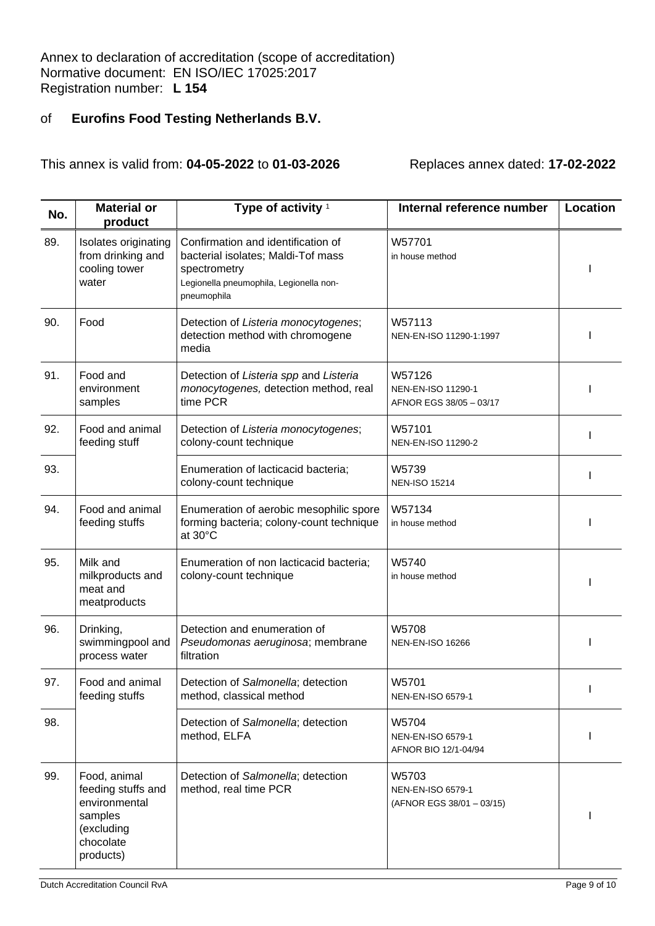| No. | <b>Material or</b><br>product                                                                          | Type of activity <sup>1</sup>                                                                                                                      | Internal reference number                               | Location |
|-----|--------------------------------------------------------------------------------------------------------|----------------------------------------------------------------------------------------------------------------------------------------------------|---------------------------------------------------------|----------|
| 89. | Isolates originating<br>from drinking and<br>cooling tower<br>water                                    | Confirmation and identification of<br>bacterial isolates; Maldi-Tof mass<br>spectrometry<br>Legionella pneumophila, Legionella non-<br>pneumophila | W57701<br>in house method                               |          |
| 90. | Food                                                                                                   | Detection of Listeria monocytogenes;<br>detection method with chromogene<br>media                                                                  | W57113<br>NEN-EN-ISO 11290-1:1997                       |          |
| 91. | Food and<br>environment<br>samples                                                                     | Detection of Listeria spp and Listeria<br>monocytogenes, detection method, real<br>time PCR                                                        | W57126<br>NEN-EN-ISO 11290-1<br>AFNOR EGS 38/05 - 03/17 |          |
| 92. | Food and animal<br>feeding stuff                                                                       | Detection of Listeria monocytogenes;<br>colony-count technique                                                                                     | W57101<br>NEN-EN-ISO 11290-2                            |          |
| 93. |                                                                                                        | Enumeration of lacticacid bacteria;<br>colony-count technique                                                                                      | W5739<br><b>NEN-ISO 15214</b>                           |          |
| 94. | Food and animal<br>feeding stuffs                                                                      | Enumeration of aerobic mesophilic spore<br>forming bacteria; colony-count technique<br>at 30°C                                                     | W57134<br>in house method                               |          |
| 95. | Milk and<br>milkproducts and<br>meat and<br>meatproducts                                               | Enumeration of non lacticacid bacteria;<br>colony-count technique                                                                                  | W5740<br>in house method                                |          |
| 96. | Drinking,<br>swimmingpool and<br>process water                                                         | Detection and enumeration of<br>Pseudomonas aeruginosa; membrane<br>filtration                                                                     | W5708<br><b>NEN-EN-ISO 16266</b>                        |          |
| 97. | Food and animal<br>feeding stuffs                                                                      | Detection of Salmonella; detection<br>method, classical method                                                                                     | W5701<br>NEN-EN-ISO 6579-1                              |          |
| 98. |                                                                                                        | Detection of Salmonella; detection<br>method, ELFA                                                                                                 | W5704<br>NEN-EN-ISO 6579-1<br>AFNOR BIO 12/1-04/94      |          |
| 99. | Food, animal<br>feeding stuffs and<br>environmental<br>samples<br>(excluding<br>chocolate<br>products) | Detection of Salmonella; detection<br>method, real time PCR                                                                                        | W5703<br>NEN-EN-ISO 6579-1<br>(AFNOR EGS 38/01 - 03/15) |          |